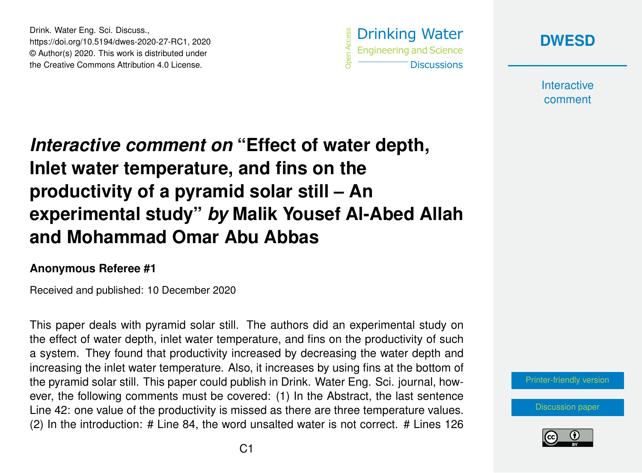Drink. Water Eng. Sci. Discuss., https://doi.org/10.5194/dwes-2020-27-RC1, 2020 © Author(s) 2020. This work is distributed under the Creative Commons Attribution 4.0 License.





**Interactive** comment

## *Interactive comment on* **"Effect of water depth, Inlet water temperature, and fins on the productivity of a pyramid solar still – An experimental study"** *by* **Malik Yousef Al-Abed Allah and Mohammad Omar Abu Abbas**

## **Anonymous Referee #1**

Received and published: 10 December 2020

This paper deals with pyramid solar still. The authors did an experimental study on the effect of water depth, inlet water temperature, and fins on the productivity of such a system. They found that productivity increased by decreasing the water depth and increasing the inlet water temperature. Also, it increases by using fins at the bottom of the pyramid solar still. This paper could publish in Drink. Water Eng. Sci. journal, however, the following comments must be covered: (1) In the Abstract, the last sentence Line 42: one value of the productivity is missed as there are three temperature values. (2) In the introduction: # Line 84, the word unsalted water is not correct. # Lines 126

[Printer-friendly version](https://dwes.copernicus.org/preprints/dwes-2020-27/dwes-2020-27-RC1-print.pdf)

[Discussion paper](https://dwes.copernicus.org/preprints/dwes-2020-27)

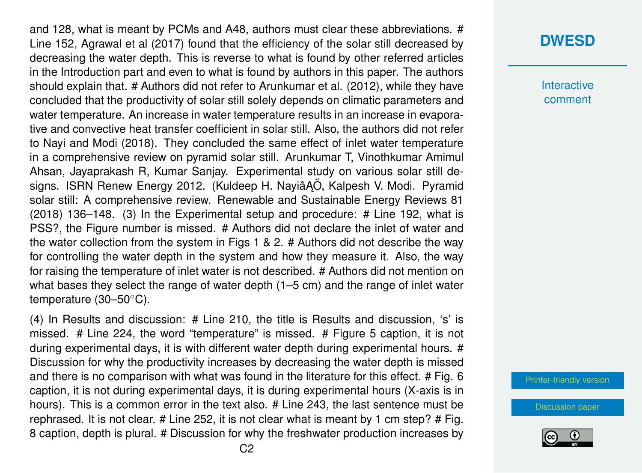and 128, what is meant by PCMs and A48, authors must clear these abbreviations. # Line 152, Agrawal et al (2017) found that the efficiency of the solar still decreased by decreasing the water depth. This is reverse to what is found by other referred articles in the Introduction part and even to what is found by authors in this paper. The authors should explain that. # Authors did not refer to Arunkumar et al. (2012), while they have concluded that the productivity of solar still solely depends on climatic parameters and water temperature. An increase in water temperature results in an increase in evaporative and convective heat transfer coefficient in solar still. Also, the authors did not refer to Nayi and Modi (2018). They concluded the same effect of inlet water temperature in a comprehensive review on pyramid solar still. Arunkumar T, Vinothkumar Amimul Ahsan, Jayaprakash R, Kumar Sanjay. Experimental study on various solar still designs. ISRN Renew Energy 2012. (Kuldeep H. Nayiâ AÖ, Kalpesh V. Modi. Pyramid solar still: A comprehensive review. Renewable and Sustainable Energy Reviews 81 (2018) 136–148. (3) In the Experimental setup and procedure: # Line 192, what is PSS?, the Figure number is missed. # Authors did not declare the inlet of water and the water collection from the system in Figs 1 & 2. # Authors did not describe the way for controlling the water depth in the system and how they measure it. Also, the way for raising the temperature of inlet water is not described. # Authors did not mention on what bases they select the range of water depth (1–5 cm) and the range of inlet water temperature (30–50◦C).

(4) In Results and discussion: # Line 210, the title is Results and discussion, 's' is missed. # Line 224, the word "temperature" is missed. # Figure 5 caption, it is not during experimental days, it is with different water depth during experimental hours. # Discussion for why the productivity increases by decreasing the water depth is missed and there is no comparison with what was found in the literature for this effect. # Fig. 6 caption, it is not during experimental days, it is during experimental hours (X-axis is in hours). This is a common error in the text also. # Line 243, the last sentence must be rephrased. It is not clear. # Line 252, it is not clear what is meant by 1 cm step? # Fig. 8 caption, depth is plural. # Discussion for why the freshwater production increases by

## **[DWESD](https://dwes.copernicus.org/preprints/)**

**Interactive** comment

[Printer-friendly version](https://dwes.copernicus.org/preprints/dwes-2020-27/dwes-2020-27-RC1-print.pdf)

[Discussion paper](https://dwes.copernicus.org/preprints/dwes-2020-27)